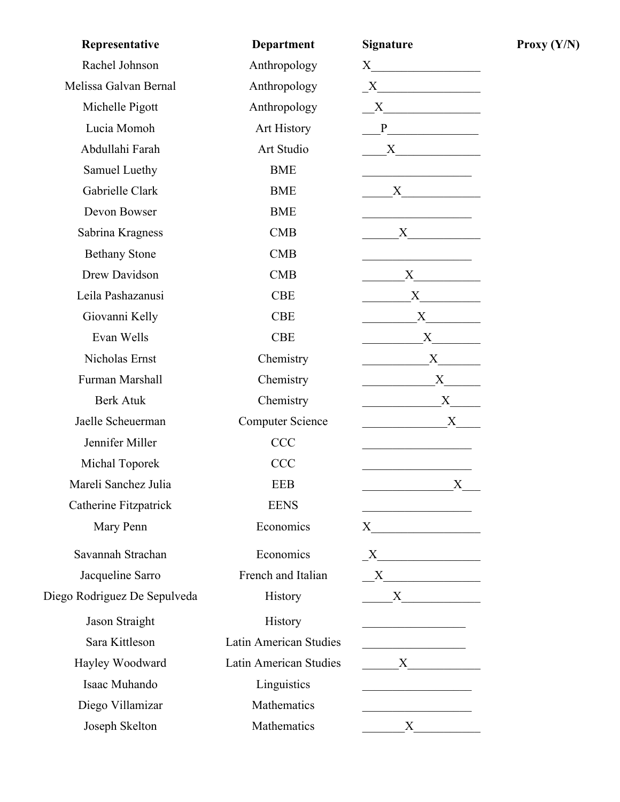| Representative               | <b>Department</b>             | <b>Signature</b>                                                                                                                                                                                                              |
|------------------------------|-------------------------------|-------------------------------------------------------------------------------------------------------------------------------------------------------------------------------------------------------------------------------|
| Rachel Johnson               | Anthropology                  | $X \qquad \qquad \qquad$                                                                                                                                                                                                      |
| Melissa Galvan Bernal        | Anthropology                  | $X$ and $X$ and $X$ and $X$ and $X$ and $X$ and $X$ and $X$ and $X$ and $X$ and $X$ and $X$ and $X$ and $X$ and $X$ and $X$ and $X$ and $X$ and $X$ and $X$ and $X$ and $X$ and $X$ and $X$ and $X$ and $X$ and $X$ and $X$ a |
| Michelle Pigott              | Anthropology                  | $X \sim$                                                                                                                                                                                                                      |
| Lucia Momoh                  | Art History                   | P                                                                                                                                                                                                                             |
| Abdullahi Farah              | Art Studio                    | $X_{-}$                                                                                                                                                                                                                       |
| Samuel Luethy                | <b>BME</b>                    |                                                                                                                                                                                                                               |
| Gabrielle Clark              | <b>BME</b>                    | X                                                                                                                                                                                                                             |
| Devon Bowser                 | <b>BME</b>                    |                                                                                                                                                                                                                               |
| Sabrina Kragness             | CMB                           | $X \sim$                                                                                                                                                                                                                      |
| <b>Bethany Stone</b>         | <b>CMB</b>                    |                                                                                                                                                                                                                               |
| Drew Davidson                | CMB                           | X                                                                                                                                                                                                                             |
| Leila Pashazanusi            | <b>CBE</b>                    | X                                                                                                                                                                                                                             |
| Giovanni Kelly               | <b>CBE</b>                    | X                                                                                                                                                                                                                             |
| Evan Wells                   | <b>CBE</b>                    | X                                                                                                                                                                                                                             |
| Nicholas Ernst               | Chemistry                     | X                                                                                                                                                                                                                             |
| Furman Marshall              | Chemistry                     | X                                                                                                                                                                                                                             |
| <b>Berk Atuk</b>             | Chemistry                     | $X_{-}$                                                                                                                                                                                                                       |
| Jaelle Scheuerman            | <b>Computer Science</b>       | X                                                                                                                                                                                                                             |
| Jennifer Miller              | <b>CCC</b>                    |                                                                                                                                                                                                                               |
| Michal Toporek               | <b>CCC</b>                    |                                                                                                                                                                                                                               |
| Mareli Sanchez Julia         | <b>EEB</b>                    | X                                                                                                                                                                                                                             |
| Catherine Fitzpatrick        | <b>EENS</b>                   |                                                                                                                                                                                                                               |
| Mary Penn                    | Economics                     | $X \qquad \qquad \qquad$                                                                                                                                                                                                      |
| Savannah Strachan            | Economics                     | X                                                                                                                                                                                                                             |
| Jacqueline Sarro             | French and Italian            | X                                                                                                                                                                                                                             |
| Diego Rodriguez De Sepulveda | <b>History</b>                |                                                                                                                                                                                                                               |
| Jason Straight               | History                       |                                                                                                                                                                                                                               |
| Sara Kittleson               | <b>Latin American Studies</b> |                                                                                                                                                                                                                               |
| Hayley Woodward              | Latin American Studies        | X                                                                                                                                                                                                                             |
| Isaac Muhando                | Linguistics                   | <u> 1990 - Johann Barbara, martin a</u>                                                                                                                                                                                       |
| Diego Villamizar             | Mathematics                   |                                                                                                                                                                                                                               |
| Joseph Skelton               | Mathematics                   | $X_{-}$                                                                                                                                                                                                                       |

**Proxy**  $(Y/N)$